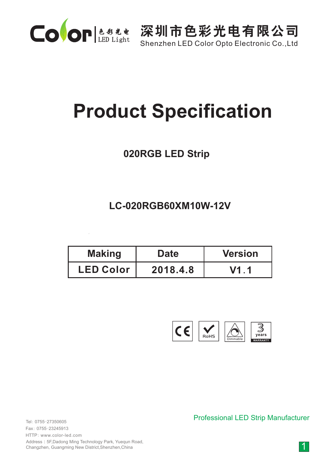

Shenzhen LED Color Opto Electronic Co.,Ltd

# **Product Specification**

#### **020RGB LED Strip**

#### **LC-020RGB60XM10W-12V**

| <b>Making</b>    | <b>Date</b> | <b>Version</b> |  |
|------------------|-------------|----------------|--|
| <b>LED Color</b> | 2018.4.8    | V1.1           |  |



0755-27350605 Tel: 0755-23245913 Fax: HTTP: www.color-led.com

Address:5F,Dadong Ming Technology Park, Yuequn Road, Changzhen, Guangming New District,Shenzhen,China

Professional LED Strip Manufacturer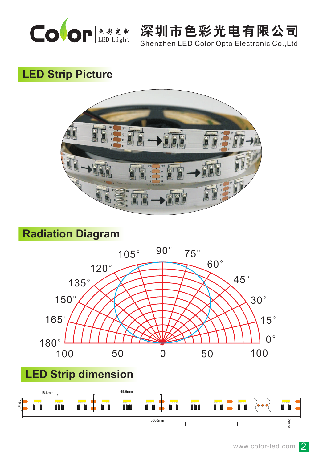

Shenzhen LED Color Opto Electronic Co.,Ltd

# **LED Strip Picture**



### **Radiation Diagram**



# **LED Strip dimension**

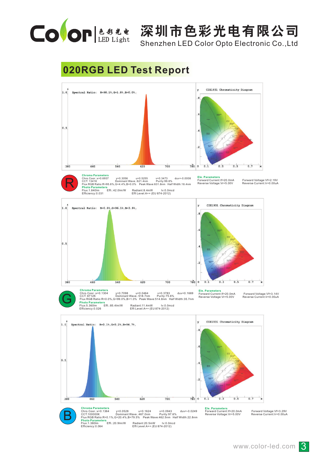

Shenzhen LED Color Opto Electronic Co.,Ltd

#### **020RGB LED Test Report**

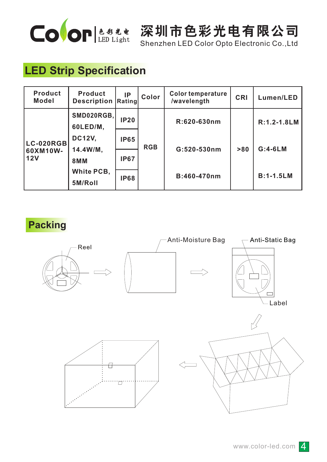

Shenzhen LED Color Opto Electronic Co.,Ltd

# **LED Strip Specification**

| <b>Product</b><br><b>Model</b>      | <b>Product</b><br><b>Description</b> | IP<br>Rating | Color      | <b>Color temperature</b><br>/wavelength | <b>CRI</b> | Lumen/LED        |
|-------------------------------------|--------------------------------------|--------------|------------|-----------------------------------------|------------|------------------|
| <b>LC-020RGB</b><br>60XM10W-<br>12V | SMD020RGB,<br>60LED/M,               | <b>IP20</b>  | <b>RGB</b> | R:620-630nm                             | > 80       | R:1.2-1.8LM      |
|                                     | <b>DC12V,</b>                        | <b>IP65</b>  |            | G:520-530nm                             |            | $G:4-6LM$        |
|                                     | 14.4W/M,<br><b>8MM</b>               | <b>IP67</b>  |            |                                         |            |                  |
|                                     | White PCB,<br>5M/Roll                | <b>IP68</b>  |            | B:460-470nm                             |            | <b>B:1-1.5LM</b> |

**Packing**